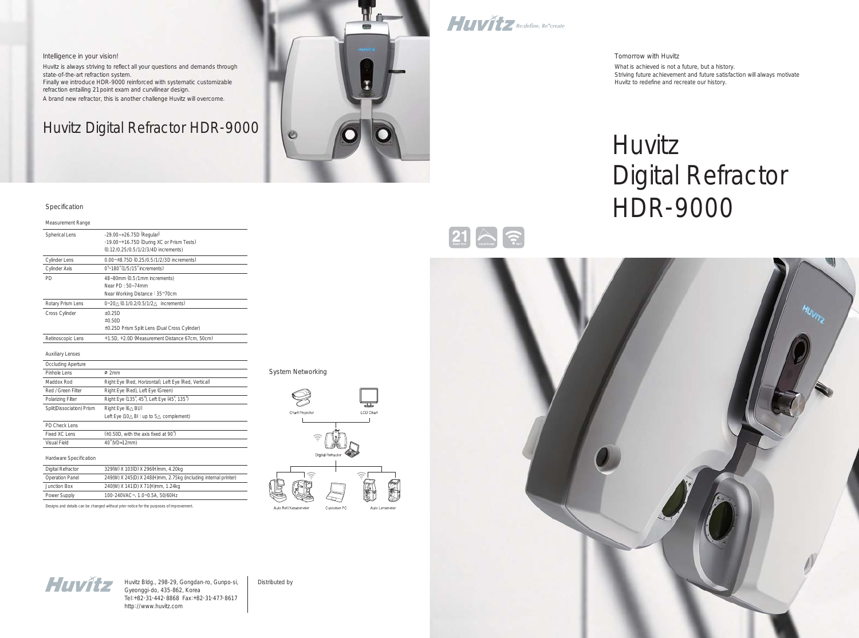Huvitz Bldg., 298-29, Gongdan-ro, Gunpo-si, Gyeonggi-do, 435-862, Korea Tel:+82-31-442-8868 Fax:+82-31-477-8617 http://www.huvitz.com

Distributed by

#### Intelligence in your vision!

Huvitz is always striving to reflect all your questions and demands through state-of-the-art refraction system. Finally we introduce HDR-9000 reinforced with systematic customizable refraction entailing 21point exam and curvilinear design. A brand new refractor, this is another challenge Huvitz will overcome.

## Huvitz Digital Refractor HDR-9000



Huvitz Re:define, Re<sup>+</sup>create

#### Specification

#### Measurement Range Spherical Lens -29.00~+26.75D (Regular) -19.00~+16.75D (During XC or Prism Tests) (0.12/0.25/0.5/1/2/3/4D increments) Cylinder Lens 0.00~±8.75D (0.25/0.5/1/2/3D increments) Cylinder Axis 0<sup>°~180</sup> (1/5/15<sup>°</sup> increments) PD 48~80mm (0.5/1mm increments) Near PD : 50~74mm Near Working Distance : 35~70cm Rotary Prism Lens 0~20 (0.1/0.2/0.5/1/2 increments) Cross Cylinder  $\pm 0.25D$ ±0.50D ±0.25D Prism Split Lens (Dual Cross Cylinder) Retinoscopic Lens +1.5D, +2.0D (Measurement Distance 67cm, 50cm)

#### Auxiliary Lenses

| Occluding Aperture        |                                                                    |
|---------------------------|--------------------------------------------------------------------|
| Pinhole Lens              | Ø2mm                                                               |
| Maddox Rod                | Right Eye (Red, Horizontal), Left Eye (Red, Vertical)              |
| Red / Green Filter        | Right Eye (Red), Left Eye (Green)                                  |
| Polarizing Filter         | Right Eye (135', 45'), Left Eye (45', 135')                        |
| Split(Dissociation) Prism | Right Eye (6 BU)                                                   |
|                           | Left Eye $(10 \text{ B} \cdot \text{up to } 5 \text{ complement})$ |
| PD Check Lens             |                                                                    |
| Fixed XC Lens             | $(\pm 0.50D)$ , with the axis fixed at 90°)                        |
| Visual Field              | 40 (VD=12mm)                                                       |

#### Hardware Specification

| Digital Refractor      | 329(W) X 103(D) X 296(H)mm, 4.20kg                              |
|------------------------|-----------------------------------------------------------------|
| <b>Operation Panel</b> | 249(W) X 245(D) X 248(H)mm, 2.75kg (including internal printer) |
| Junction Box           | 240(W) X 141(D) X 71(H)mm, 1.24kg                               |
| Power Supply           | 100-240VAC~, 1.0~0.5A, 50/60Hz                                  |

Designs and details can be changed without prior notice for the purposes of improvement.

#### System Networking





# Digital Refractor

# Huvitz HDR-9000



Tomorrow with Huvitz What is achieved is not a future, but a history. Huvitz to redefine and recreate our history.

Striving future achievement and future satisfaction will always motivate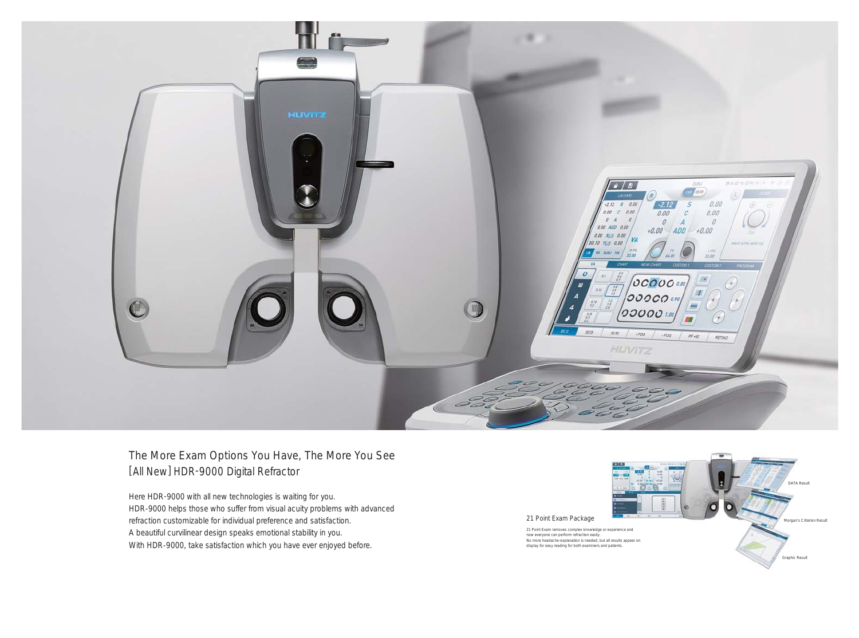

### The More Exam Options You Have, The More You See [All New] HDR-9000 Digital Refractor

Here HDR -9000 with all new technologies is waiting for you. HDR-9000 helps those who suffer from visual acuity problems with advanced refraction customizable for individual preference and satisfaction. A beautiful curvilinear design speaks emotional stability in you. With HDR-9000, take satisfaction which you have ever enjoyed before.

21 Point Exam Package

21 Point Exam removes complex knowledge or experience and<br>now everyone can perform refraction easily.<br>No more headache-explanation is needed, but all results appear on<br>display for easy reading for both examiners and patien

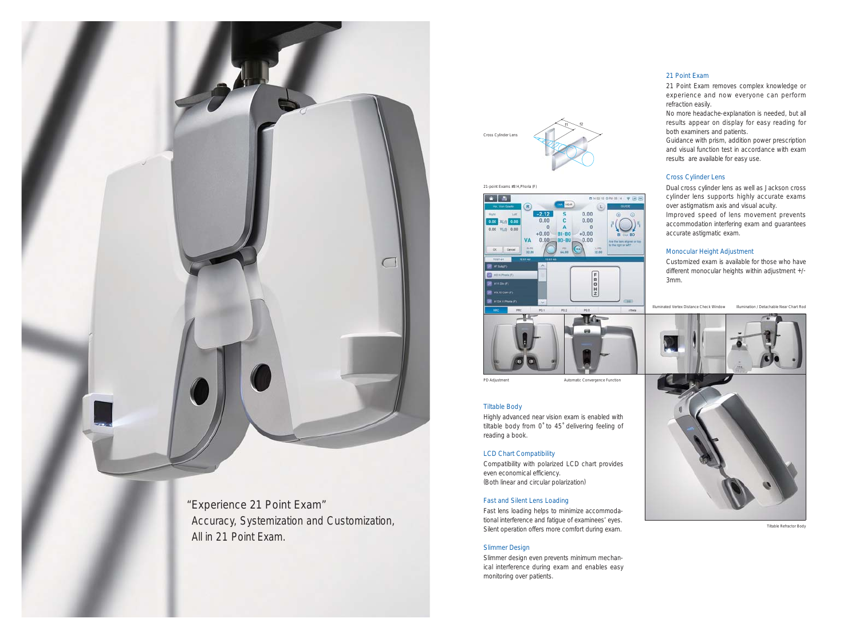21-point Exams #8 H,Phoria (F)



Illuminated Vertex Distance Check Window Illumination / Detachable Near Chart Rod



Tiltable Refractor Body



"Experience 21 Point Exam" Accuracy, Systemization and Customization, All in 21 Point Exam.

f1 \\_\_\_\_\_\_\_ f2 Cross Cylinder Len

#### 21 Point Exam

21 Point Exam removes complex knowledge or experience and now everyone can perform refraction easily.

No more headache-explanation is needed, but all results appear on display for easy reading for both examiners and patients.

Guidance with prism, addition power prescription and visual function test in accordance with exam results are available for easy use.

#### Cross Cylinder Lens

Dual cross cylinder lens as well as Jackson cross cylinder lens supports highly accurate exams over astigmatism axis and visual acuity.

Improved speed of lens movement prevents accommodation interfering exam and guarantees accurate astigmatic exam.

#### Monocular Height Adjustment

Customized exam is available for those who have different monocular heights within adjustment +/-

3mm.

PD Adjustment **Automatic Convergence Function** 

#### Tiltable Body

Highly advanced near vision exam is enabled with tiltable body from 0˚ to 45˚ delivering feeling of reading a book.

#### LCD Chart Compatibility

Compatibility with polarized LCD chart provides even economical efficiency. (Both linear and circular polarization)

#### Fast and Silent Lens Loading

Fast lens loading helps to minimize accommodational interference and fatigue of examinees' eyes. Silent operation offers more comfort during exam.

#### Slimmer Design

Slimmer design even prevents minimum mechanical interference during exam and enables easy monitoring over patients.